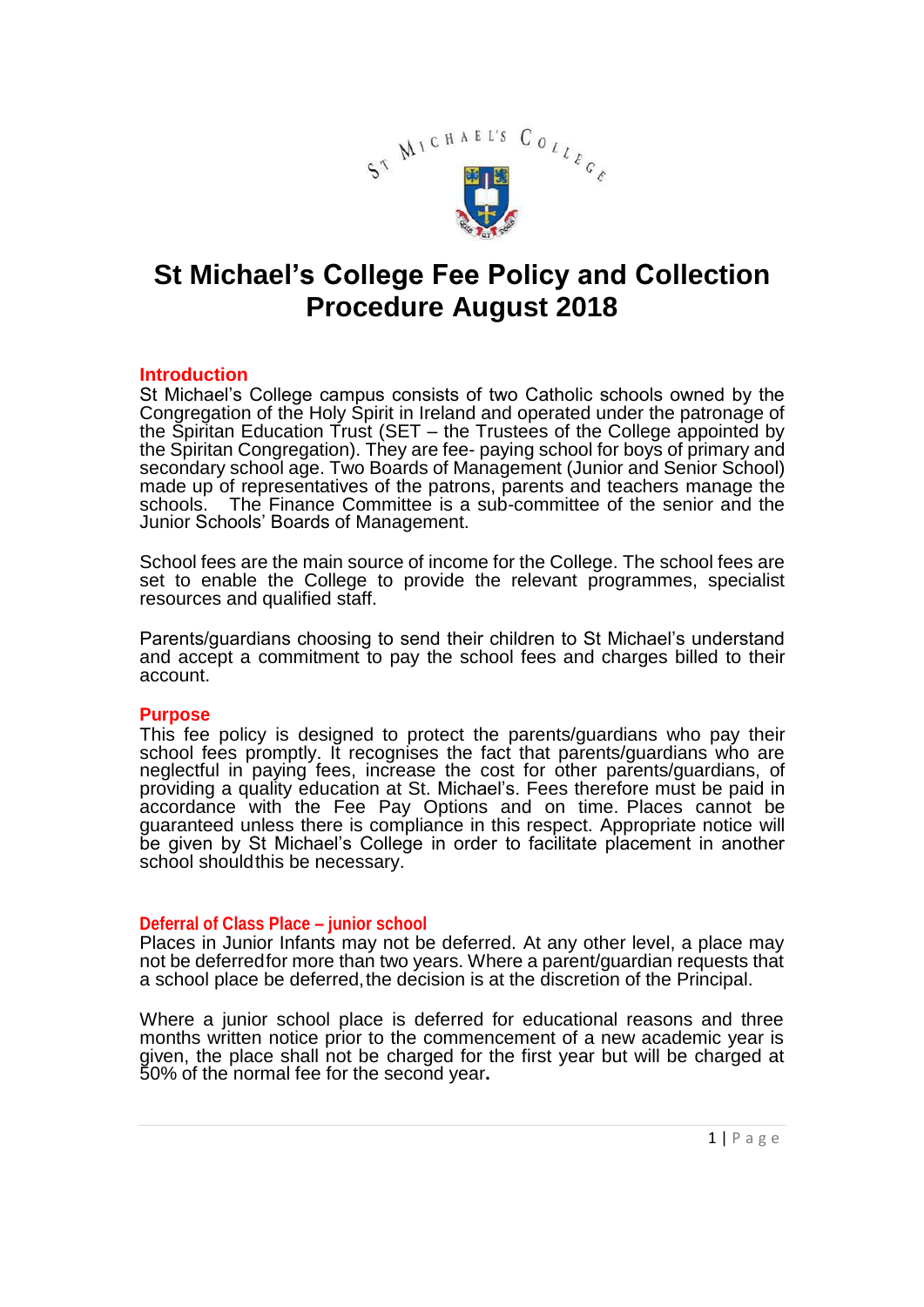

# **St Michael's College Fee Policy and Collection Procedure August 2018**

## **Introduction**

St Michael's College campus consists of two Catholic schools owned by the Congregation of the Holy Spirit in Ireland and operated under the patronage of the Spiritan Education Trust (SET – the Trustees of the College appointed by the Spiritan Congregation). They are fee- paying school for boys of primary and secondary school age. Two Boards of Management (Junior and Senior School) made up of representatives of the patrons, parents and teachers manage the schools. The Finance Committee is a sub-committee of the senior and the Junior Schools' Boards of Management.

School fees are the main source of income for the College. The school fees are set to enable the College to provide the relevant programmes, specialist resources and qualified staff.

Parents/guardians choosing to send their children to St Michael's understand and accept a commitment to pay the school fees and charges billed to their account.

## **Purpose**

This fee policy is designed to protect the parents/guardians who pay their school fees promptly. It recognises the fact that parents/guardians who are neglectful in paying fees, increase the cost for other parents/guardians, of providing a quality education at St. Michael's. Fees therefore must be paid in accordance with the Fee Pay Options and on time. Places cannot be guaranteed unless there is compliance in this respect. Appropriate notice will be given by St Michael's College in order to facilitate placement in another school shouldthis be necessary.

## **Deferral of Class Place – junior school**

Places in Junior Infants may not be deferred. At any other level, a place may not be deferredfor more than two years. Where a parent/guardian requests that a school place be deferred, the decision is at the discretion of the Principal.

Where a junior school place is deferred for educational reasons and three months written notice prior to the commencement of a new academic year is given, the place shall not be charged for the first year but will be charged at 50% of the normal fee for the second year**.**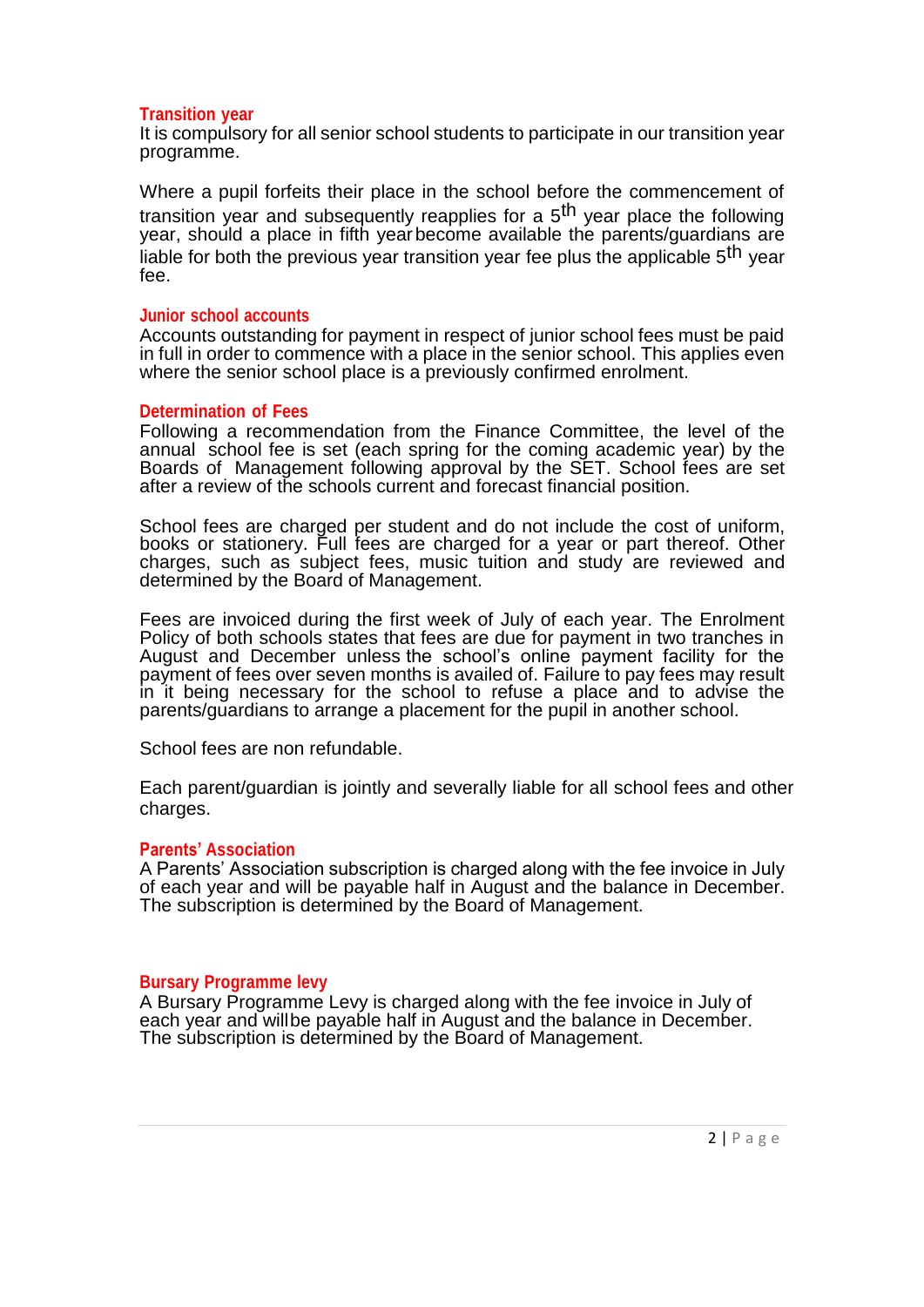## **Transition year**

It is compulsory for all senior school students to participate in our transition year programme.

Where a pupil forfeits their place in the school before the commencement of transition year and subsequently reapplies for a 5<sup>th</sup> year place the following year, should a place in fifth yearbecome available the parents/guardians are liable for both the previous year transition year fee plus the applicable 5<sup>th</sup> vear fee.

## **Junior school accounts**

Accounts outstanding for payment in respect of junior school fees must be paid in full in order to commence with a place in the senior school. This applies even where the senior school place is a previously confirmed enrolment.

## **Determination of Fees**

Following a recommendation from the Finance Committee, the level of the annual school fee is set (each spring for the coming academic year) by the Boards of Management following approval by the SET. School fees are set after a review of the schools current and forecast financial position.

School fees are charged per student and do not include the cost of uniform, books or stationery. Full fees are charged for a year or part thereof. Other charges, such as subject fees, music tuition and study are reviewed and determined by the Board of Management.

Fees are invoiced during the first week of July of each year. The Enrolment Policy of both schools states that fees are due for payment in two tranches in August and December unless the school's online payment facility for the payment of fees over seven months is availed of. Failure to pay fees may result in it being necessary for the school to refuse a place and to advise the parents/guardians to arrange a placement for the pupil in another school.

School fees are non refundable.

Each parent/guardian is jointly and severally liable for all school fees and other charges.

## **Parents' Association**

A Parents' Association subscription is charged along with the fee invoice in July of each year and will be payable half in August and the balance in December. The subscription is determined by the Board of Management.

## **Bursary Programme levy**

A Bursary Programme Levy is charged along with the fee invoice in July of each year and willbe payable half in August and the balance in December. The subscription is determined by the Board of Management.